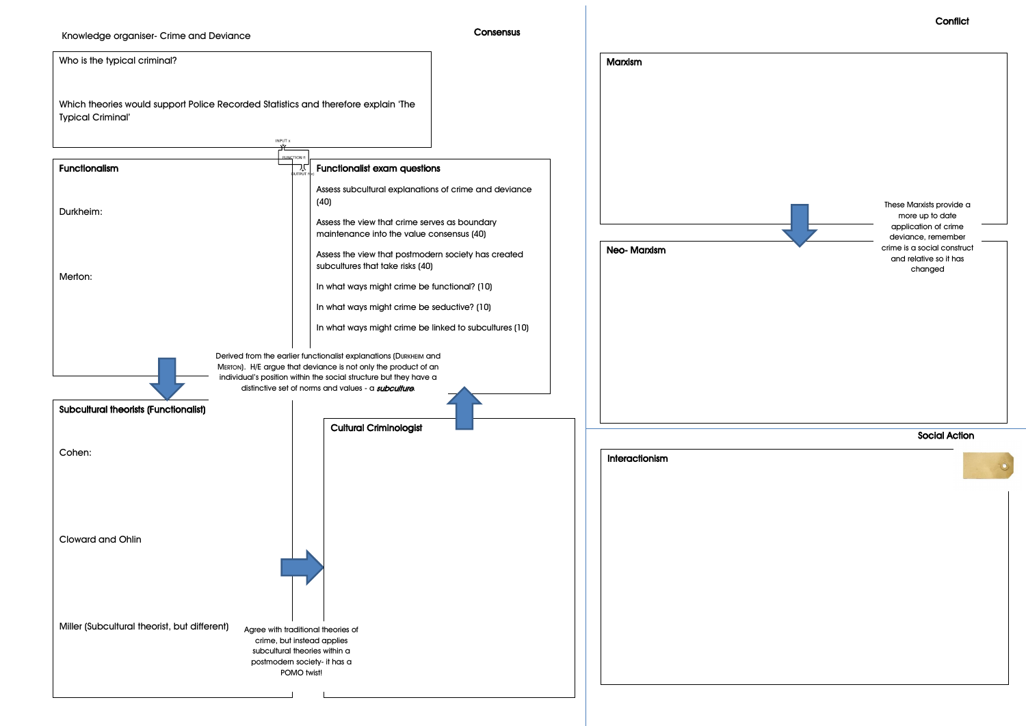## Knowledge organiser- Crime and Deviance

## **Consensus**